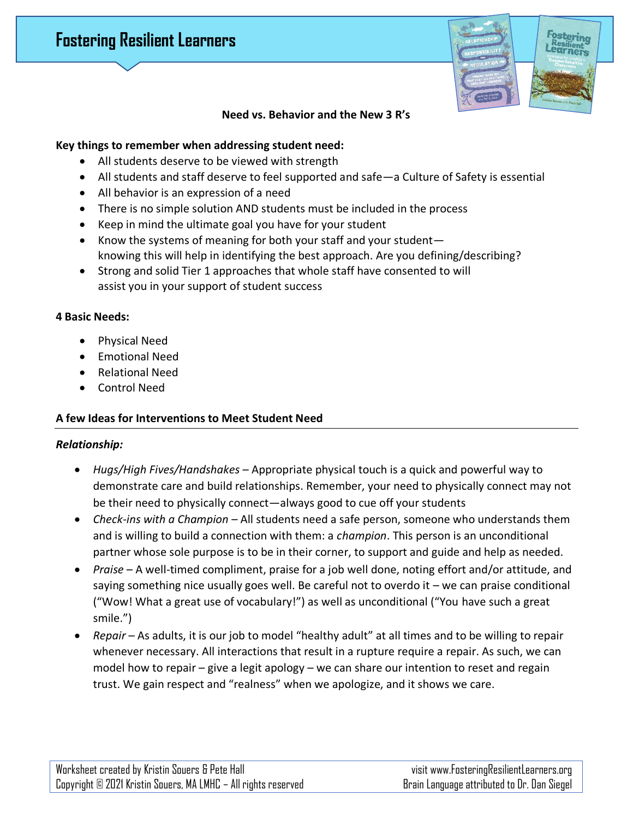# **Fostering Resilient Learners**



### **Need vs. Behavior and the New 3 R's**

#### **Key things to remember when addressing student need:**

- All students deserve to be viewed with strength
- All students and staff deserve to feel supported and safe—a Culture of Safety is essential
- All behavior is an expression of a need
- There is no simple solution AND students must be included in the process
- Keep in mind the ultimate goal you have for your student
- Know the systems of meaning for both your staff and your student knowing this will help in identifying the best approach. Are you defining/describing?
- Strong and solid Tier 1 approaches that whole staff have consented to will assist you in your support of student success

#### **4 Basic Needs:**

- Physical Need
- Emotional Need
- Relational Need
- Control Need

## **A few Ideas for Interventions to Meet Student Need**

#### *Relationship:*

- *Hugs/High Fives/Handshakes* Appropriate physical touch is a quick and powerful way to demonstrate care and build relationships. Remember, your need to physically connect may not be their need to physically connect—always good to cue off your students
- *Check-ins with a Champion* All students need a safe person, someone who understands them and is willing to build a connection with them: a *champion*. This person is an unconditional partner whose sole purpose is to be in their corner, to support and guide and help as needed.
- *Praise* A well-timed compliment, praise for a job well done, noting effort and/or attitude, and saying something nice usually goes well. Be careful not to overdo it – we can praise conditional ("Wow! What a great use of vocabulary!") as well as unconditional ("You have such a great smile.")
- *Repair* As adults, it is our job to model "healthy adult" at all times and to be willing to repair whenever necessary. All interactions that result in a rupture require a repair. As such, we can model how to repair – give a legit apology – we can share our intention to reset and regain trust. We gain respect and "realness" when we apologize, and it shows we care.